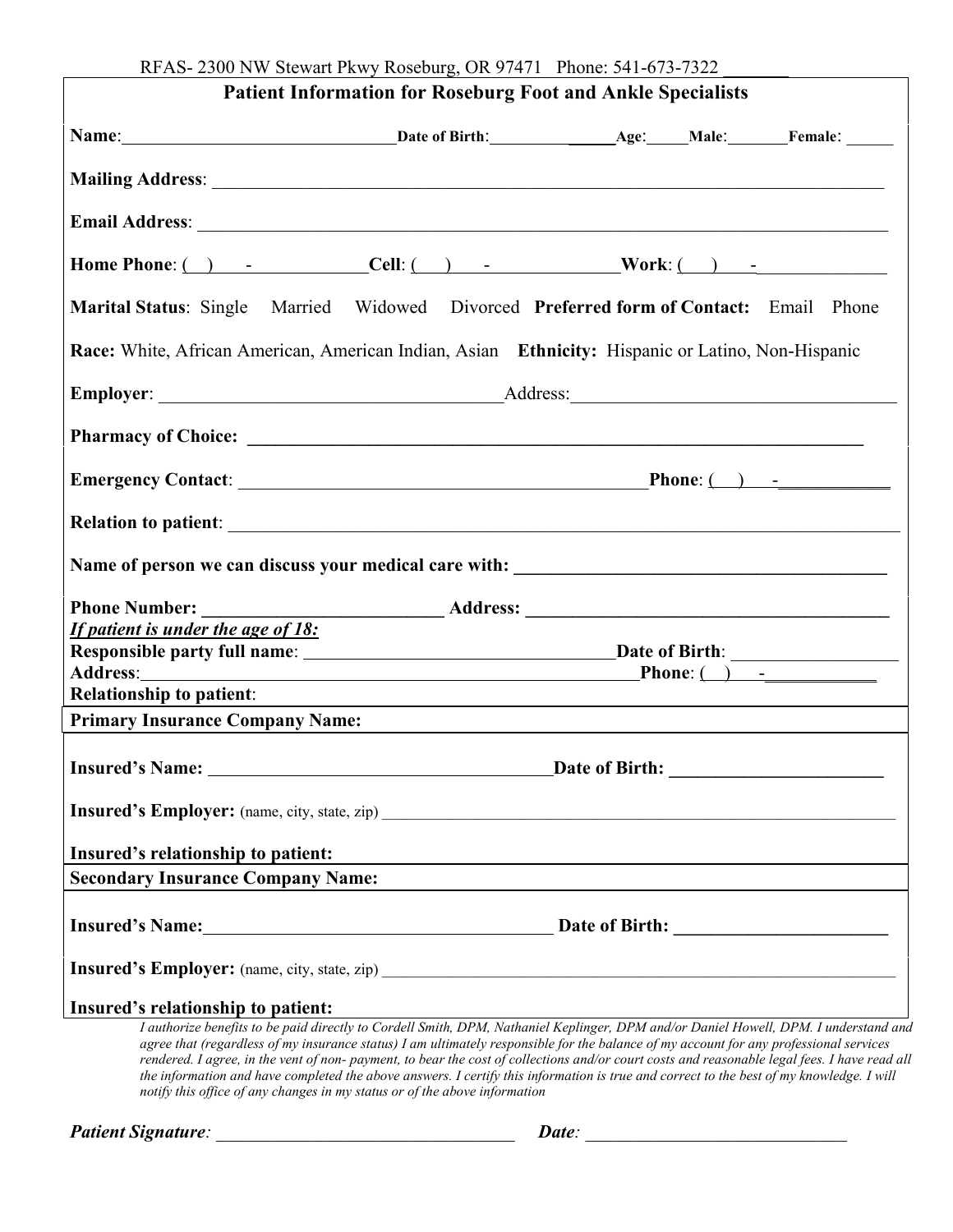|                                                                                                                                                                                                                                                                                                                                                                                                 | <b>Patient Information for Roseburg Foot and Ankle Specialists</b>                                                                                                                                                                                                                        |  |  |
|-------------------------------------------------------------------------------------------------------------------------------------------------------------------------------------------------------------------------------------------------------------------------------------------------------------------------------------------------------------------------------------------------|-------------------------------------------------------------------------------------------------------------------------------------------------------------------------------------------------------------------------------------------------------------------------------------------|--|--|
|                                                                                                                                                                                                                                                                                                                                                                                                 |                                                                                                                                                                                                                                                                                           |  |  |
|                                                                                                                                                                                                                                                                                                                                                                                                 |                                                                                                                                                                                                                                                                                           |  |  |
| Email Address: <u>New York: Address:</u> New York: New York: New York: New York: New York: New York: New York: New York: New York: New York: New York: New York: New York: New York: New York: New York: New York: New York: New Yo                                                                                                                                                             |                                                                                                                                                                                                                                                                                           |  |  |
| Home Phone: $\qquad \qquad$ $\qquad \qquad$ $\qquad \qquad$ $\qquad \qquad$ $\qquad \qquad$ $\qquad \qquad$ $\qquad \qquad$ $\qquad \qquad$ $\qquad \qquad$ $\qquad \qquad$ $\qquad \qquad$ $\qquad \qquad$ $\qquad \qquad$ $\qquad \qquad$ $\qquad \qquad$ $\qquad \qquad$ $\qquad \qquad$ $\qquad \qquad$ $\qquad \qquad$ $\qquad \qquad$ $\qquad \qquad$ $\qquad \qquad$ $\qquad \qquad$ $\$ |                                                                                                                                                                                                                                                                                           |  |  |
| Marital Status: Single Married Widowed Divorced Preferred form of Contact: Email Phone                                                                                                                                                                                                                                                                                                          |                                                                                                                                                                                                                                                                                           |  |  |
| Race: White, African American, American Indian, Asian Ethnicity: Hispanic or Latino, Non-Hispanic                                                                                                                                                                                                                                                                                               |                                                                                                                                                                                                                                                                                           |  |  |
|                                                                                                                                                                                                                                                                                                                                                                                                 |                                                                                                                                                                                                                                                                                           |  |  |
|                                                                                                                                                                                                                                                                                                                                                                                                 |                                                                                                                                                                                                                                                                                           |  |  |
|                                                                                                                                                                                                                                                                                                                                                                                                 |                                                                                                                                                                                                                                                                                           |  |  |
|                                                                                                                                                                                                                                                                                                                                                                                                 |                                                                                                                                                                                                                                                                                           |  |  |
|                                                                                                                                                                                                                                                                                                                                                                                                 |                                                                                                                                                                                                                                                                                           |  |  |
|                                                                                                                                                                                                                                                                                                                                                                                                 |                                                                                                                                                                                                                                                                                           |  |  |
| If patient is under the age of 18:                                                                                                                                                                                                                                                                                                                                                              |                                                                                                                                                                                                                                                                                           |  |  |
|                                                                                                                                                                                                                                                                                                                                                                                                 |                                                                                                                                                                                                                                                                                           |  |  |
| <b>Relationship to patient:</b>                                                                                                                                                                                                                                                                                                                                                                 |                                                                                                                                                                                                                                                                                           |  |  |
| <b>Primary Insurance Company Name:</b>                                                                                                                                                                                                                                                                                                                                                          | and the control of the control of the control of the control of the control of the control of the control of the                                                                                                                                                                          |  |  |
|                                                                                                                                                                                                                                                                                                                                                                                                 |                                                                                                                                                                                                                                                                                           |  |  |
|                                                                                                                                                                                                                                                                                                                                                                                                 |                                                                                                                                                                                                                                                                                           |  |  |
| Insured's relationship to patient:                                                                                                                                                                                                                                                                                                                                                              | and the control of the control of the control of the control of the control of the control of the control of the                                                                                                                                                                          |  |  |
| <b>Secondary Insurance Company Name:</b>                                                                                                                                                                                                                                                                                                                                                        |                                                                                                                                                                                                                                                                                           |  |  |
|                                                                                                                                                                                                                                                                                                                                                                                                 |                                                                                                                                                                                                                                                                                           |  |  |
|                                                                                                                                                                                                                                                                                                                                                                                                 |                                                                                                                                                                                                                                                                                           |  |  |
| Insured's relationship to patient:                                                                                                                                                                                                                                                                                                                                                              |                                                                                                                                                                                                                                                                                           |  |  |
|                                                                                                                                                                                                                                                                                                                                                                                                 | I authorize benefits to be paid directly to Cordell Smith, DPM, Nathaniel Keplinger, DPM and/or Daniel Howell, DPM. I understand and                                                                                                                                                      |  |  |
|                                                                                                                                                                                                                                                                                                                                                                                                 | agree that (regardless of my insurance status) I am ultimately responsible for the balance of my account for any professional services                                                                                                                                                    |  |  |
|                                                                                                                                                                                                                                                                                                                                                                                                 | rendered. I agree, in the vent of non- payment, to bear the cost of collections and/or court costs and reasonable legal fees. I have read all<br>the information and have completed the above answers. I certify this information is true and correct to the best of my knowledge. I will |  |  |
|                                                                                                                                                                                                                                                                                                                                                                                                 | notify this office of any changes in my status or of the above information                                                                                                                                                                                                                |  |  |

*Patient Signature: \_\_\_\_\_\_\_\_\_\_\_\_\_\_\_\_\_\_\_\_\_\_\_\_\_\_\_\_\_\_\_\_ Date: \_\_\_\_\_\_\_\_\_\_\_\_\_\_\_\_\_\_\_\_\_\_\_\_\_\_\_\_*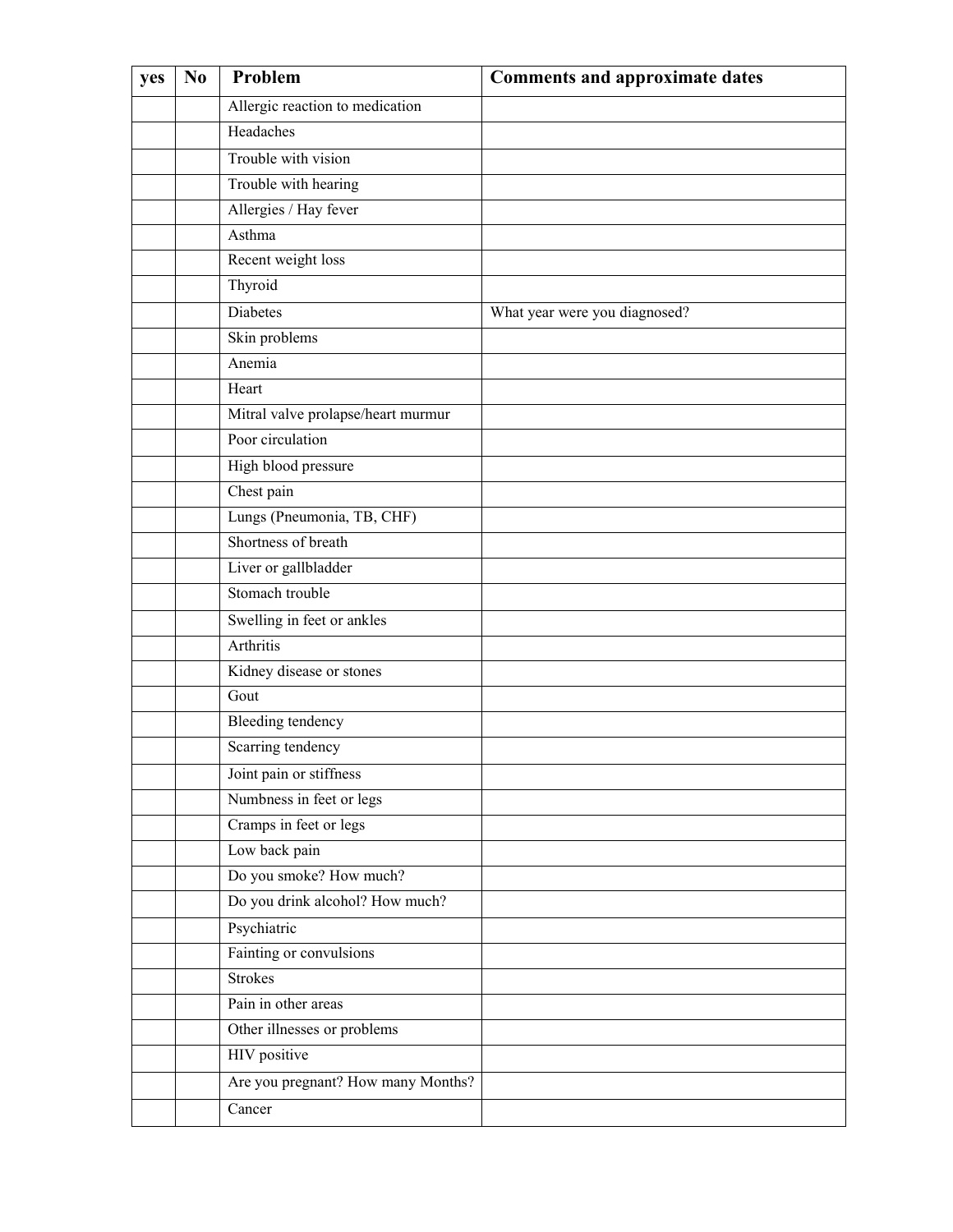| yes | N <sub>0</sub> | Problem                            | <b>Comments and approximate dates</b> |
|-----|----------------|------------------------------------|---------------------------------------|
|     |                | Allergic reaction to medication    |                                       |
|     |                | Headaches                          |                                       |
|     |                | Trouble with vision                |                                       |
|     |                | Trouble with hearing               |                                       |
|     |                | Allergies / Hay fever              |                                       |
|     |                | Asthma                             |                                       |
|     |                | Recent weight loss                 |                                       |
|     |                | Thyroid                            |                                       |
|     |                | Diabetes                           | What year were you diagnosed?         |
|     |                | Skin problems                      |                                       |
|     |                | Anemia                             |                                       |
|     |                | Heart                              |                                       |
|     |                | Mitral valve prolapse/heart murmur |                                       |
|     |                | Poor circulation                   |                                       |
|     |                | High blood pressure                |                                       |
|     |                | Chest pain                         |                                       |
|     |                | Lungs (Pneumonia, TB, CHF)         |                                       |
|     |                | Shortness of breath                |                                       |
|     |                | Liver or gallbladder               |                                       |
|     |                | Stomach trouble                    |                                       |
|     |                | Swelling in feet or ankles         |                                       |
|     |                | Arthritis                          |                                       |
|     |                | Kidney disease or stones           |                                       |
|     |                | Gout                               |                                       |
|     |                | Bleeding tendency                  |                                       |
|     |                | Scarring tendency                  |                                       |
|     |                | Joint pain or stiffness            |                                       |
|     |                | Numbness in feet or legs           |                                       |
|     |                | Cramps in feet or legs             |                                       |
|     |                | Low back pain                      |                                       |
|     |                | Do you smoke? How much?            |                                       |
|     |                | Do you drink alcohol? How much?    |                                       |
|     |                | Psychiatric                        |                                       |
|     |                | Fainting or convulsions            |                                       |
|     |                | <b>Strokes</b>                     |                                       |
|     |                | Pain in other areas                |                                       |
|     |                | Other illnesses or problems        |                                       |
|     |                | HIV positive                       |                                       |
|     |                | Are you pregnant? How many Months? |                                       |
|     |                | Cancer                             |                                       |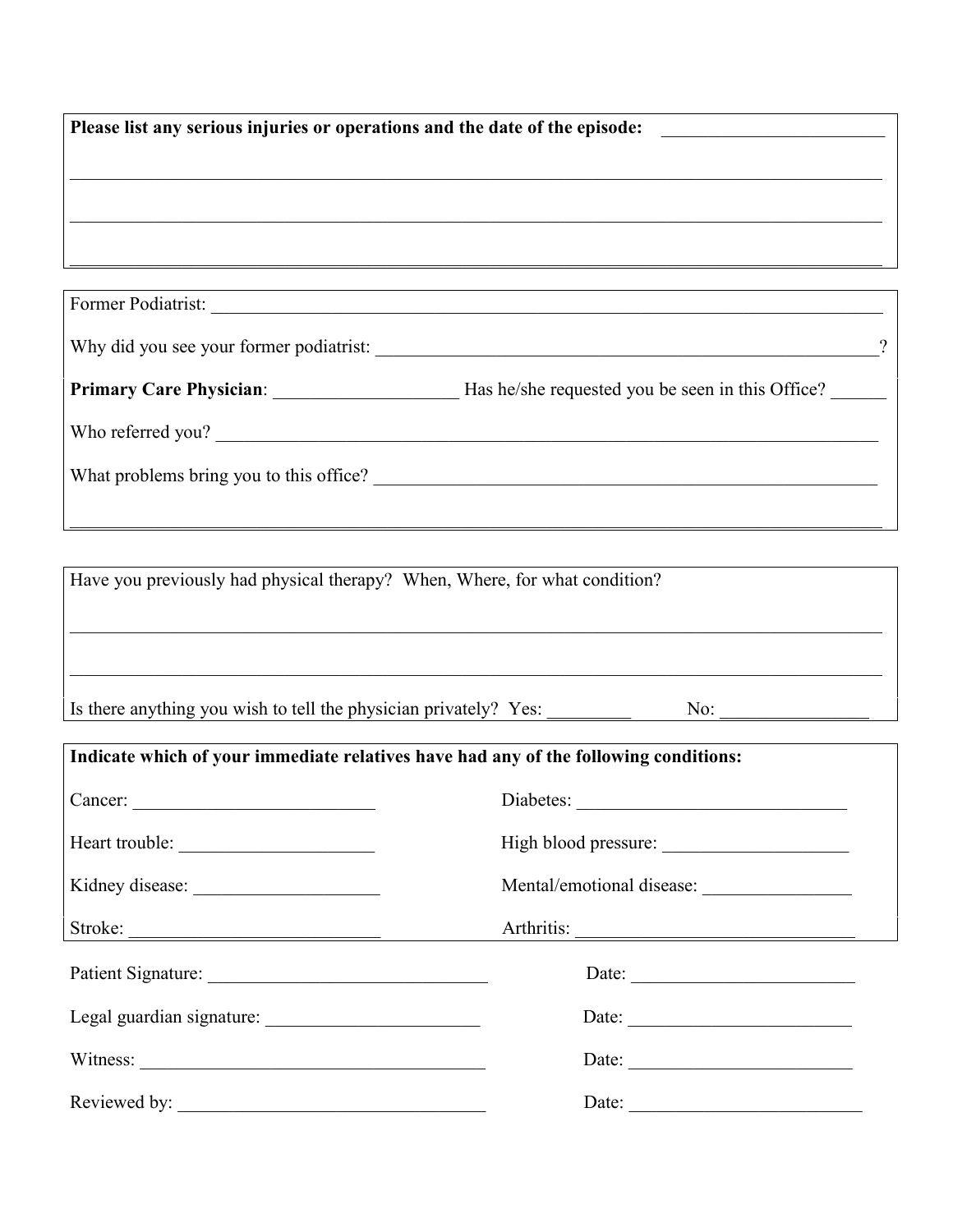| Please list any serious injuries or operations and the date of the episode: |   |  |  |
|-----------------------------------------------------------------------------|---|--|--|
|                                                                             |   |  |  |
|                                                                             |   |  |  |
|                                                                             |   |  |  |
|                                                                             |   |  |  |
|                                                                             |   |  |  |
| Former Podiatrist:                                                          |   |  |  |
| Why did you see your former podiatrist:                                     | ິ |  |  |

| <b>Primary Care Physician:</b><br>Has he/she requested you be seen in this Office? |
|------------------------------------------------------------------------------------|
|------------------------------------------------------------------------------------|

Who referred you? \_\_\_\_\_\_\_\_\_\_\_\_\_\_\_\_\_\_\_\_\_\_\_\_\_\_\_\_\_\_\_\_\_\_\_\_\_\_\_\_\_\_\_\_\_\_\_\_\_\_\_\_\_\_\_\_\_\_\_\_\_\_\_\_\_\_\_\_\_\_\_

What problems bring you to this office? \_\_\_\_\_\_\_\_\_\_\_\_\_\_\_\_\_\_\_\_\_\_\_\_\_\_\_\_\_\_\_\_\_\_\_\_\_\_\_\_\_\_\_\_\_\_\_\_\_\_\_\_\_\_

Have you previously had physical therapy? When, Where, for what condition?  $\_$  , and the set of the set of the set of the set of the set of the set of the set of the set of the set of the set of the set of the set of the set of the set of the set of the set of the set of the set of the set of th  $\_$  , and the set of the set of the set of the set of the set of the set of the set of the set of the set of the set of the set of the set of the set of the set of the set of the set of the set of the set of the set of th Is there anything you wish to tell the physician privately? Yes:  $\frac{1}{\sqrt{1-\frac{1}{n}}}\qquad\text{No:}\qquad$ 

 $\_$  , and the set of the set of the set of the set of the set of the set of the set of the set of the set of the set of the set of the set of the set of the set of the set of the set of the set of the set of the set of th

| Indicate which of your immediate relatives have had any of the following conditions: |                       |  |  |
|--------------------------------------------------------------------------------------|-----------------------|--|--|
|                                                                                      | Diabetes:             |  |  |
| Heart trouble:                                                                       |                       |  |  |
| Kidney disease:                                                                      |                       |  |  |
|                                                                                      |                       |  |  |
|                                                                                      | Date:                 |  |  |
|                                                                                      | Date:                 |  |  |
|                                                                                      | Date: $\qquad \qquad$ |  |  |
|                                                                                      | Date:                 |  |  |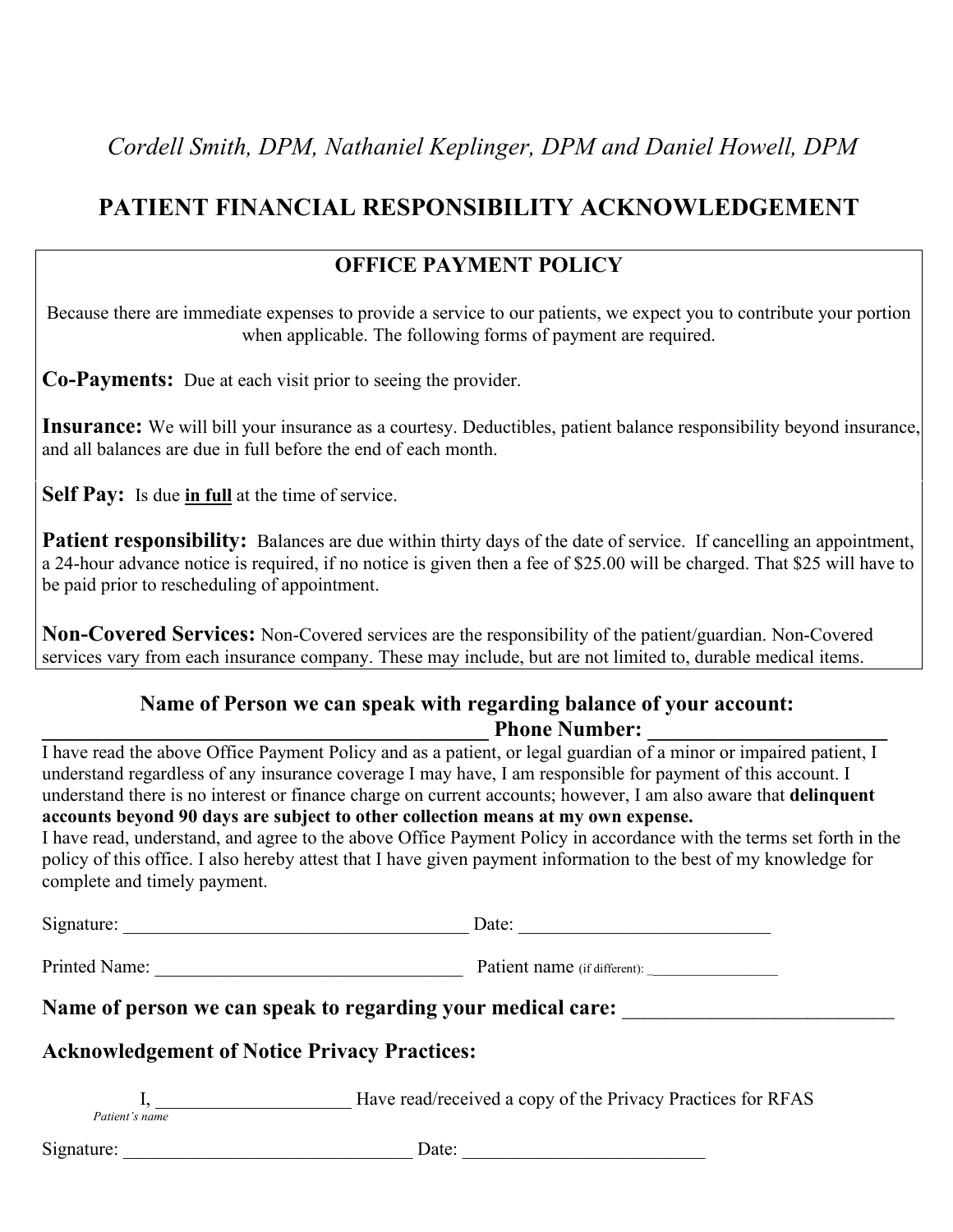## **PATIENT FINANCIAL RESPONSIBILITY ACKNOWLEDGEMENT**

#### **OFFICE PAYMENT POLICY**

Because there are immediate expenses to provide a service to our patients, we expect you to contribute your portion when applicable. The following forms of payment are required.

**Co-Payments:** Due at each visit prior to seeing the provider.

**Insurance:** We will bill your insurance as a courtesy. Deductibles, patient balance responsibility beyond insurance, and all balances are due in full before the end of each month.

**Self Pay:** Is due **in full** at the time of service.

**Patient responsibility:** Balances are due within thirty days of the date of service. If cancelling an appointment, a 24-hour advance notice is required, if no notice is given then a fee of \$25.00 will be charged.That \$25 will have to be paid prior to rescheduling of appointment.

**Non-Covered Services:** Non-Covered services are the responsibility of the patient/guardian. Non-Covered services vary from each insurance company. These may include, but are not limited to, durable medical items.

#### **Name of Person we can speak with regarding balance of your account: \_\_\_\_\_\_\_\_\_\_\_\_\_\_\_\_\_\_\_\_\_\_\_\_\_\_\_\_\_\_\_\_\_\_\_\_\_\_\_\_\_ Phone Number: \_\_\_\_\_\_\_\_\_\_\_\_\_\_\_\_\_\_\_\_\_\_**

I have read the above Office Payment Policy and as a patient, or legal guardian of a minor or impaired patient, I understand regardless of any insurance coverage I may have, I am responsible for payment of this account. I understand there is no interest or finance charge on current accounts; however, I am also aware that **delinquent accounts beyond 90 days are subject to other collection means atmy own expense.**

I have read, understand, and agree to the above Office Payment Policy in accordance with the terms set forth in the policy of this office. I also hereby attest that I have given payment information to the best of my knowledge for complete and timely payment.

Signature: \_\_\_\_\_\_\_\_\_\_\_\_\_\_\_\_\_\_\_\_\_\_\_\_\_\_\_\_\_\_\_\_\_\_\_\_\_ Date: \_\_\_\_\_\_\_\_\_\_\_\_\_\_\_\_\_\_\_\_\_\_\_\_\_\_\_ Printed Name: <br>
Patient name (if different):

**Name** of person we can speak to regarding your medical care:

### **Acknowledgement of Notice Privacy Practices:**

I, **I** Have read/received a copy of the Privacy Practices for RFAS *Patient's name*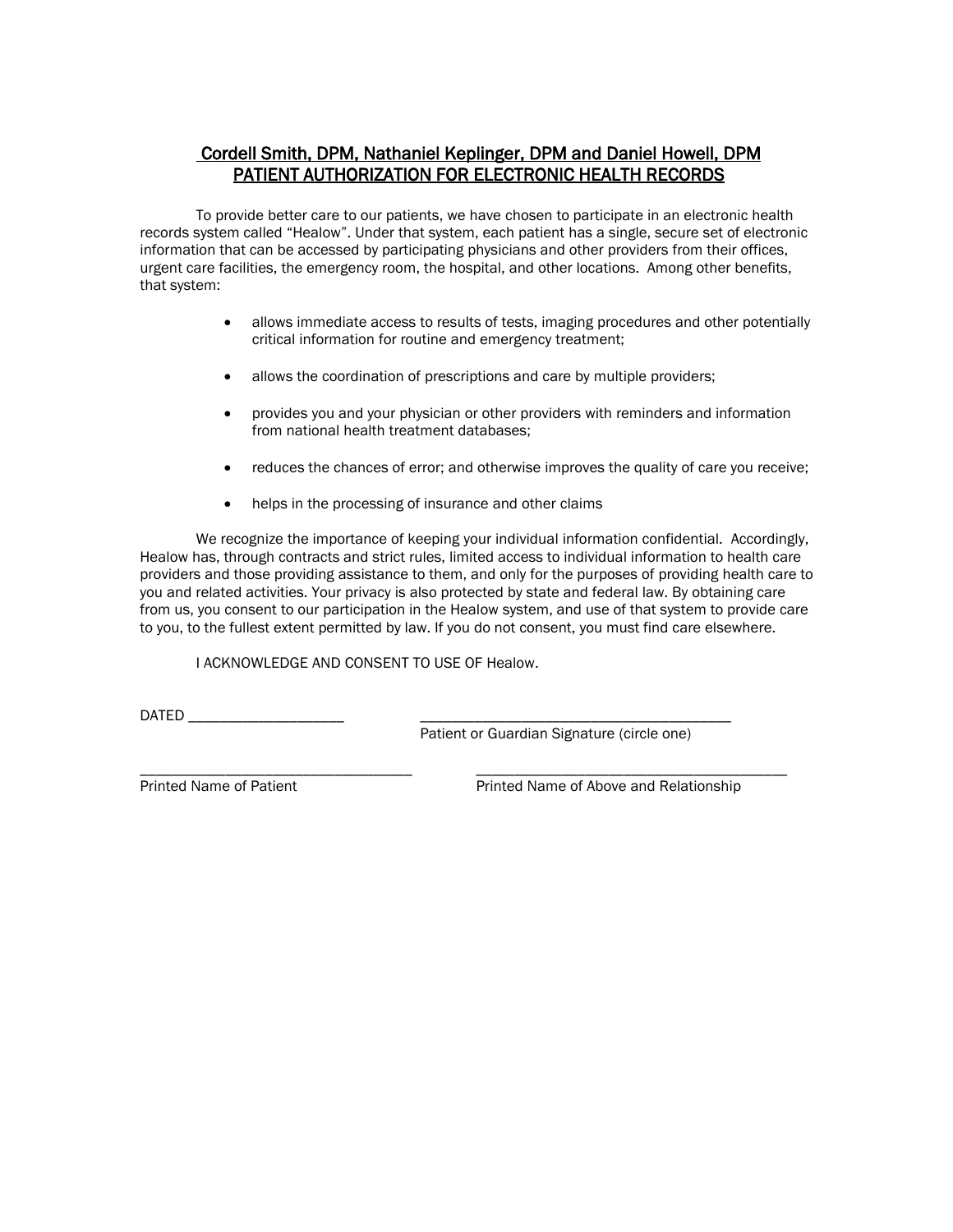#### Cordell Smith, DPM, Nathaniel Keplinger, DPM and Daniel Howell, DPM PATIENT AUTHORIZATION FOR ELECTRONIC HEALTH RECORDS

To provide better care to our patients, we have chosen to participate in an electronic health records system called "Healow". Under that system, each patient has a single, secure set of electronic information that can be accessed by participating physicians and other providers from their offices, urgent care facilities, the emergency room, the hospital, and other locations. Among other benefits, that system:

- allows immediate access to results of tests, imaging procedures and other potentially critical information for routine and emergency treatment;
- allows the coordination of prescriptions and care by multiple providers;
- provides you and your physician or other providers with reminders and information from national health treatment databases;
- reduces the chances of error; and otherwise improves the quality of care you receive;
- helps in the processing of insurance and other claims

We recognize the importance of keeping your individual information confidential. Accordingly, Healow has, through contracts and strict rules, limited access to individual information to health care providers and those providing assistance to them, and only for the purposes of providing health care to you and related activities. Your privacy is also protected by state and federal law. By obtaining care from us, you consent to our participation in the Healow system, and use of that system to provide care to you, to the fullest extent permitted by law. If you do not consent, you must find care elsewhere.

I ACKNOWLEDGE AND CONSENT TO USE OF Healow.

DATED \_\_\_\_\_\_\_\_\_\_\_\_\_\_\_\_\_\_\_\_ \_\_\_\_\_\_\_\_\_\_\_\_\_\_\_\_\_\_\_\_\_\_\_\_\_\_\_\_\_\_\_\_\_\_\_\_\_\_\_\_

Patient or Guardian Signature (circle one)

\_\_\_\_\_\_\_\_\_\_\_\_\_\_\_\_\_\_\_\_\_\_\_\_\_\_\_\_\_\_\_\_\_\_\_ \_\_\_\_\_\_\_\_\_\_\_\_\_\_\_\_\_\_\_\_\_\_\_\_\_\_\_\_\_\_\_\_\_\_\_\_\_\_\_\_

Printed Name of Patient **Printed Name of Above and Relationship**